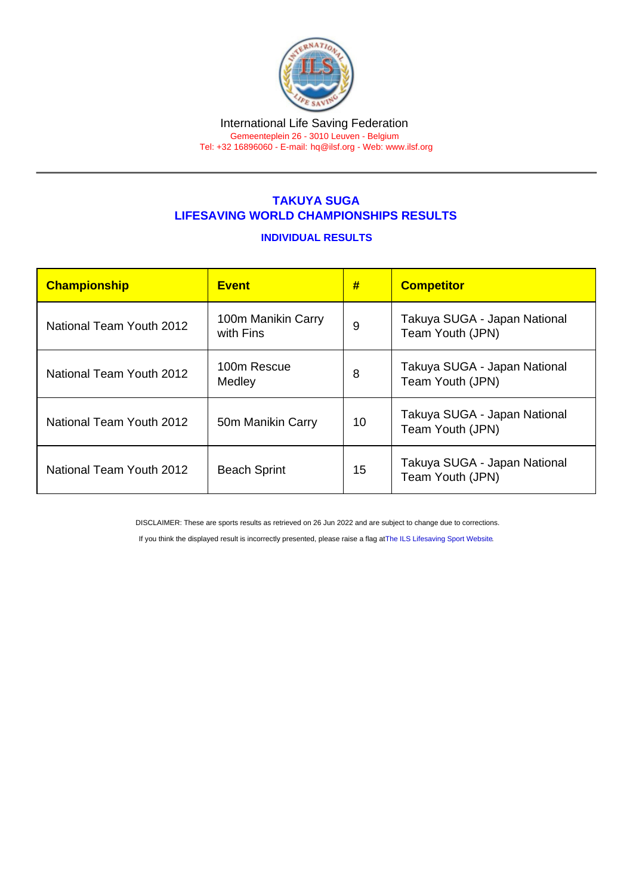#### International Life Saving Federation Gemeenteplein 26 - 3010 Leuven - Belgium

Tel: +32 16896060 - E-mail: [hq@ilsf.org](mailto:hq@ilsf.org) - Web: [www.ilsf.org](https://www.ilsf.org)

## TAKUYA SUGA LIFESAVING WORLD CHAMPIONSHIPS RESULTS

## INDIVIDUAL RESULTS

| Championship             | <b>Event</b>                    | #  | <b>Competitor</b>                                |
|--------------------------|---------------------------------|----|--------------------------------------------------|
| National Team Youth 2012 | 100m Manikin Carry<br>with Fins | 9  | Takuya SUGA - Japan National<br>Team Youth (JPN) |
| National Team Youth 2012 | 100m Rescue<br>Medley           | 8  | Takuya SUGA - Japan National<br>Team Youth (JPN) |
| National Team Youth 2012 | 50m Manikin Carry               | 10 | Takuya SUGA - Japan National<br>Team Youth (JPN) |
| National Team Youth 2012 | <b>Beach Sprint</b>             | 15 | Takuya SUGA - Japan National<br>Team Youth (JPN) |

DISCLAIMER: These are sports results as retrieved on 26 Jun 2022 and are subject to change due to corrections.

If you think the displayed result is incorrectly presented, please raise a flag at [The ILS Lifesaving Sport Website.](https://sport.ilsf.org)